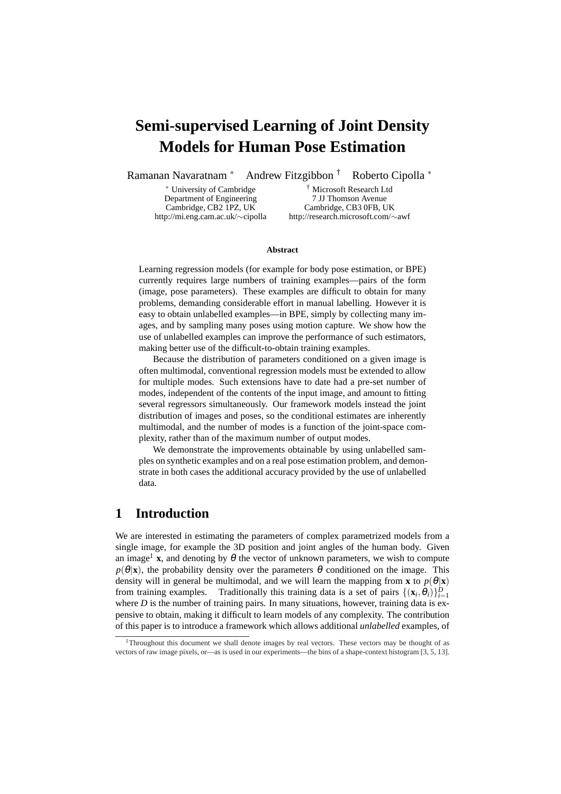# **Semi-supervised Learning of Joint Density Models for Human Pose Estimation**

Ramanan Navaratnam <sup>∗</sup> Andrew Fitzgibbon † Roberto Cipolla <sup>∗</sup>

Department of Engineering 7 JJ Thomson Avenue

<sup>∗</sup> University of Cambridge † Microsoft Research Ltd Cambridge, CB2 1PZ, UK Cambridge, CB3 0FB, UK http://mi.eng.cam.ac.uk/∼cipolla http://research.microsoft.com/∼awf

#### **Abstract**

Learning regression models (for example for body pose estimation, or BPE) currently requires large numbers of training examples—pairs of the form (image, pose parameters). These examples are difficult to obtain for many problems, demanding considerable effort in manual labelling. However it is easy to obtain unlabelled examples—in BPE, simply by collecting many images, and by sampling many poses using motion capture. We show how the use of unlabelled examples can improve the performance of such estimators, making better use of the difficult-to-obtain training examples.

Because the distribution of parameters conditioned on a given image is often multimodal, conventional regression models must be extended to allow for multiple modes. Such extensions have to date had a pre-set number of modes, independent of the contents of the input image, and amount to fitting several regressors simultaneously. Our framework models instead the joint distribution of images and poses, so the conditional estimates are inherently multimodal, and the number of modes is a function of the joint-space complexity, rather than of the maximum number of output modes.

We demonstrate the improvements obtainable by using unlabelled samples on synthetic examples and on a real pose estimation problem, and demonstrate in both cases the additional accuracy provided by the use of unlabelled data.

# **1 Introduction**

We are interested in estimating the parameters of complex parametrized models from a single image, for example the 3D position and joint angles of the human body. Given an image<sup>1</sup> **x**, and denoting by  $\theta$  the vector of unknown parameters, we wish to compute  $p(\theta|\mathbf{x})$ , the probability density over the parameters  $\theta$  conditioned on the image. This density will in general be multimodal, and we will learn the mapping from **x** to  $p(\theta|\mathbf{x})$ from training examples. Traditionally this training data is a set of pairs  $\{(\mathbf{x}_i, \theta_i)\}_{i=1}^D$ where  $D$  is the number of training pairs. In many situations, however, training data is expensive to obtain, making it difficult to learn models of any complexity. The contribution of this paper is to introduce a framework which allows additional *unlabelled* examples, of

<sup>&</sup>lt;sup>1</sup>Throughout this document we shall denote images by real vectors. These vectors may be thought of as vectors of raw image pixels, or—as is used in our experiments—the bins of a shape-context histogram [3, 5, 13].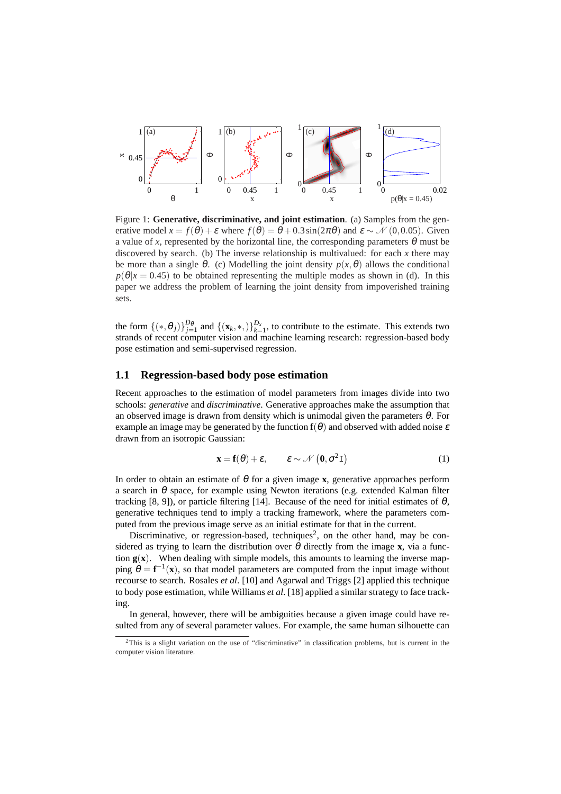

Figure 1: **Generative, discriminative, and joint estimation**. (a) Samples from the generative model  $x = f(\theta) + \varepsilon$  where  $f(\theta) = \theta + 0.3 \sin(2\pi\theta)$  and  $\varepsilon \sim \mathcal{N}(0, 0.05)$ . Given a value of *x*, represented by the horizontal line, the corresponding parameters  $\theta$  must be discovered by search. (b) The inverse relationship is multivalued: for each  $x$  there may be more than a single  $\theta$ . (c) Modelling the joint density  $p(x, \theta)$  allows the conditional  $p(\theta|x=0.45)$  to be obtained representing the multiple modes as shown in (d). In this paper we address the problem of learning the joint density from impoverished training sets.

the form  $\{(*,\theta_j)\}_{j=1}^{D_{\theta}}$  and  $\{(\mathbf{x}_k,*)\}_{k=1}^{D_x}$ , to contribute to the estimate. This extends two strands of recent computer vision and machine learning research: regression-based body pose estimation and semi-supervised regression.

#### **1.1 Regression-based body pose estimation**

Recent approaches to the estimation of model parameters from images divide into two schools: *generative* and *discriminative*. Generative approaches make the assumption that an observed image is drawn from density which is unimodal given the parameters  $\theta$ . For example an image may be generated by the function  $f(\theta)$  and observed with added noise  $\varepsilon$ drawn from an isotropic Gaussian:

$$
\mathbf{x} = \mathbf{f}(\theta) + \varepsilon, \qquad \varepsilon \sim \mathcal{N}\left(\mathbf{0}, \sigma^2 \mathbf{I}\right) \tag{1}
$$

In order to obtain an estimate of  $\theta$  for a given image **x**, generative approaches perform a search in  $\theta$  space, for example using Newton iterations (e.g. extended Kalman filter tracking [8, 9]), or particle filtering [14]. Because of the need for initial estimates of  $\theta$ , generative techniques tend to imply a tracking framework, where the parameters computed from the previous image serve as an initial estimate for that in the current.

Discriminative, or regression-based, techniques<sup>2</sup>, on the other hand, may be considered as trying to learn the distribution over  $\theta$  directly from the image **x**, via a function  $g(x)$ . When dealing with simple models, this amounts to learning the inverse mapping  $\theta = f^{-1}(x)$ , so that model parameters are computed from the input image without recourse to search. Rosales *et al*. [10] and Agarwal and Triggs [2] applied this technique to body pose estimation, while Williams *et al*. [18] applied a similar strategy to face tracking.

In general, however, there will be ambiguities because a given image could have resulted from any of several parameter values. For example, the same human silhouette can

 $2$ This is a slight variation on the use of "discriminative" in classification problems, but is current in the computer vision literature.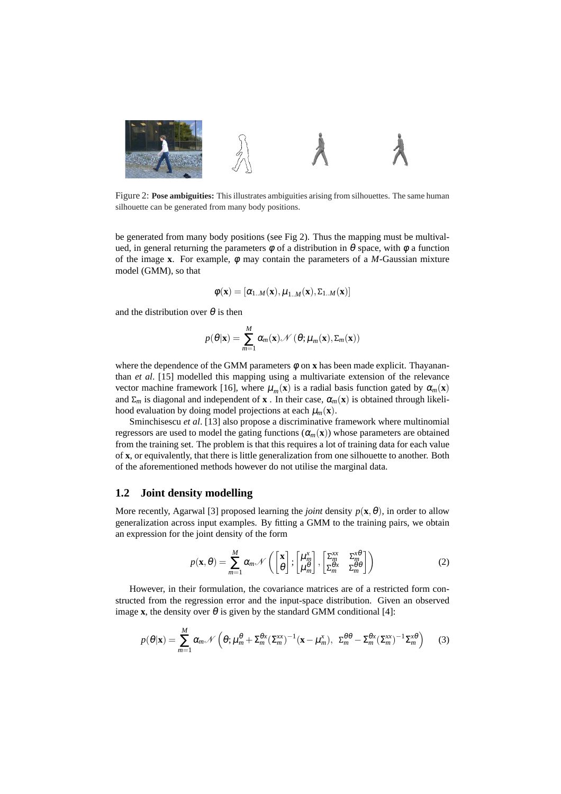

Figure 2: **Pose ambiguities:** This illustrates ambiguities arising from silhouettes. The same human silhouette can be generated from many body positions.

be generated from many body positions (see Fig 2). Thus the mapping must be multivalued, in general returning the parameters  $\phi$  of a distribution in  $\theta$  space, with  $\phi$  a function of the image **x**. For example,  $\phi$  may contain the parameters of a *M*-Gaussian mixture model (GMM), so that

$$
\boldsymbol{\phi}(\mathbf{x}) = [\alpha_{1..M}(\mathbf{x}), \mu_{1..M}(\mathbf{x}), \Sigma_{1..M}(\mathbf{x})]
$$

and the distribution over  $\theta$  is then

$$
p(\theta|\mathbf{x}) = \sum_{m=1}^{M} \alpha_m(\mathbf{x}) \mathcal{N}(\theta; \mu_m(\mathbf{x}), \Sigma_m(\mathbf{x}))
$$

where the dependence of the GMM parameters  $\phi$  on **x** has been made explicit. Thayananthan *et al*. [15] modelled this mapping using a multivariate extension of the relevance vector machine framework [16], where  $\mu_m(\mathbf{x})$  is a radial basis function gated by  $\alpha_m(\mathbf{x})$ and  $\Sigma_m$  is diagonal and independent of **x**. In their case,  $\alpha_m(\mathbf{x})$  is obtained through likelihood evaluation by doing model projections at each  $\mu_m(\mathbf{x})$ .

Sminchisescu *et al*. [13] also propose a discriminative framework where multinomial regressors are used to model the gating functions (<sup>α</sup>*m*(**x**)) whose parameters are obtained from the training set. The problem is that this requires a lot of training data for each value of **x**, or equivalently, that there is little generalization from one silhouette to another. Both of the aforementioned methods however do not utilise the marginal data.

#### **1.2 Joint density modelling**

More recently, Agarwal [3] proposed learning the *joint* density  $p(\mathbf{x}, \theta)$ , in order to allow generalization across input examples. By fitting a GMM to the training pairs, we obtain an expression for the joint density of the form

$$
p(\mathbf{x}, \theta) = \sum_{m=1}^{M} \alpha_m \mathcal{N}\left(\begin{bmatrix} \mathbf{x} \\ \theta \end{bmatrix}; \begin{bmatrix} \mu_m^x \\ \mu_m^{\theta} \end{bmatrix}, \begin{bmatrix} \Sigma_m^{xx} & \Sigma_m^{x\theta} \\ \Sigma_m^{\theta x} & \Sigma_m^{\theta \theta} \end{bmatrix}\right)
$$
(2)

However, in their formulation, the covariance matrices are of a restricted form constructed from the regression error and the input-space distribution. Given an observed image **x**, the density over  $\theta$  is given by the standard GMM conditional [4]:

$$
p(\theta|\mathbf{x}) = \sum_{m=1}^{M} \alpha_m \mathcal{N}\left(\theta; \mu_m^{\theta} + \Sigma_m^{\theta x} (\Sigma_m^{xx})^{-1} (\mathbf{x} - \mu_m^{x}), \ \Sigma_m^{\theta \theta} - \Sigma_m^{\theta x} (\Sigma_m^{xx})^{-1} \Sigma_m^{x \theta}\right)
$$
(3)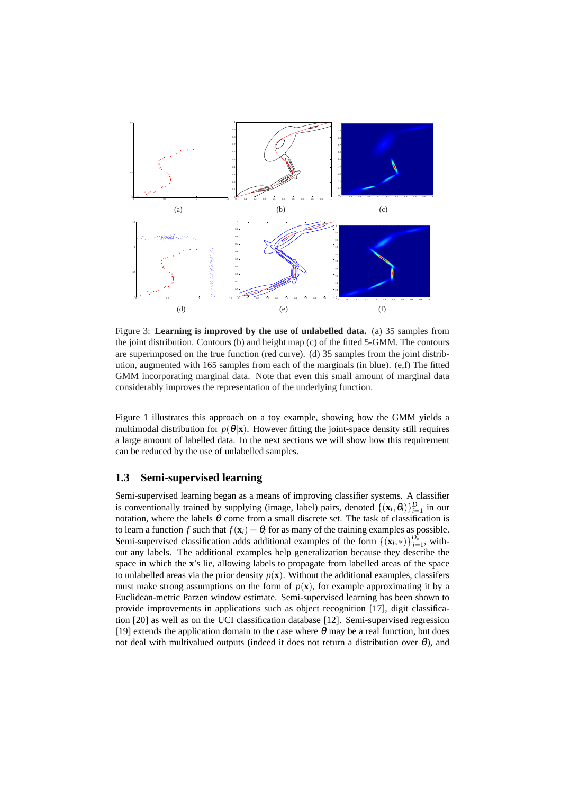

Figure 3: **Learning is improved by the use of unlabelled data.** (a) 35 samples from the joint distribution. Contours (b) and height map (c) of the fitted 5-GMM. The contours are superimposed on the true function (red curve). (d) 35 samples from the joint distribution, augmented with 165 samples from each of the marginals (in blue). (e,f) The fitted GMM incorporating marginal data. Note that even this small amount of marginal data considerably improves the representation of the underlying function.

Figure 1 illustrates this approach on a toy example, showing how the GMM yields a multimodal distribution for  $p(\theta|\mathbf{x})$ . However fitting the joint-space density still requires a large amount of labelled data. In the next sections we will show how this requirement can be reduced by the use of unlabelled samples.

#### **1.3 Semi-supervised learning**

Semi-supervised learning began as a means of improving classifier systems. A classifier is conventionally trained by supplying (image, label) pairs, denoted  $\{(\mathbf{x}_i, \theta_i)\}_{i=1}^D$  in our notation, where the labels  $\theta$  come from a small discrete set. The task of classification is to learn a function *f* such that  $f(\mathbf{x}_i) = \theta_i$  for as many of the training examples as possible. Semi-supervised classification adds additional examples of the form  $\{(\mathbf{x}_i,*)\}_{j=1}^{D_x}$ , without any labels. The additional examples help generalization because they describe the space in which the **x**'s lie, allowing labels to propagate from labelled areas of the space to unlabelled areas via the prior density  $p(\mathbf{x})$ . Without the additional examples, classifers must make strong assumptions on the form of  $p(x)$ , for example approximating it by a Euclidean-metric Parzen window estimate. Semi-supervised learning has been shown to provide improvements in applications such as object recognition [17], digit classification [20] as well as on the UCI classification database [12]. Semi-supervised regression [19] extends the application domain to the case where  $\theta$  may be a real function, but does not deal with multivalued outputs (indeed it does not return a distribution over  $\theta$ ), and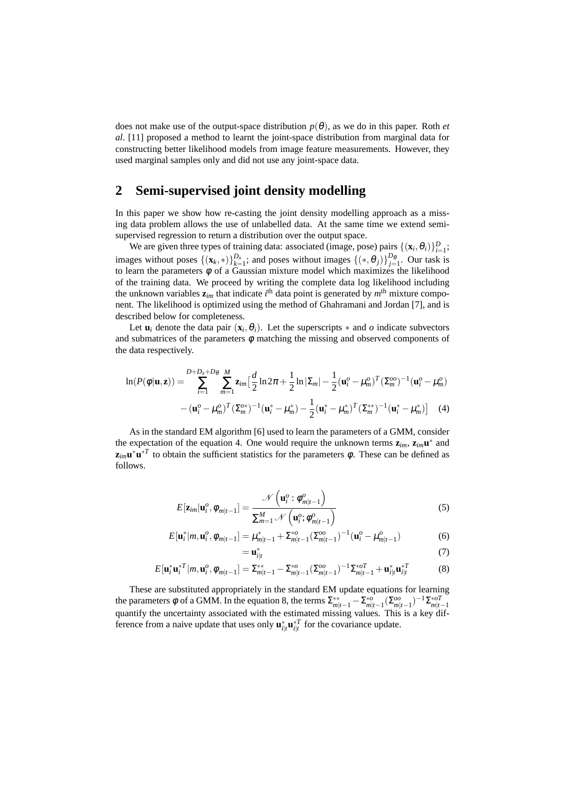does not make use of the output-space distribution  $p(\theta)$ , as we do in this paper. Roth *et al*. [11] proposed a method to learnt the joint-space distribution from marginal data for constructing better likelihood models from image feature measurements. However, they used marginal samples only and did not use any joint-space data.

# **2 Semi-supervised joint density modelling**

In this paper we show how re-casting the joint density modelling approach as a missing data problem allows the use of unlabelled data. At the same time we extend semisupervised regression to return a distribution over the output space.

We are given three types of training data: associated (image, pose) pairs  $\{(\mathbf{x}_i, \theta_i)\}_{i=1}^D$ ; images without poses  $\{(\mathbf{x}_k, *) \}_{k=1}^{D_x}$ ; and poses without images  $\{(*, \theta_j) \}_{j=1}^{D_{\theta}}$ . Our task is to learn the parameters  $\phi$  of a Gaussian mixture model which maximizes the likelihood of the training data. We proceed by writing the complete data log likelihood including the unknown variables  $z_{im}$  that indicate *i*<sup>th</sup> data point is generated by  $m<sup>th</sup>$  mixture component. The likelihood is optimized using the method of Ghahramani and Jordan [7], and is described below for completeness.

Let  $\mathbf{u}_i$  denote the data pair  $(\mathbf{x}_i, \theta_i)$ . Let the superscripts  $*$  and  $o$  indicate subvectors and submatrices of the parameters  $\phi$  matching the missing and observed components of the data respectively.

$$
\ln(P(\phi|\mathbf{u}, \mathbf{z})) = \sum_{i=1}^{D+D_x+D_\theta} \sum_{m=1}^M \mathbf{z}_{im} \Big[ \frac{d}{2} \ln 2\pi + \frac{1}{2} \ln |\Sigma_m| - \frac{1}{2} (\mathbf{u}_i^o - \mu_m^o)^T (\Sigma_m^{oo})^{-1} (\mathbf{u}_i^o - \mu_m^o)
$$

$$
-(\mathbf{u}_i^o - \mu_m^o)^T (\Sigma_m^{oo})^{-1} (\mathbf{u}_i^* - \mu_m^*) - \frac{1}{2} (\mathbf{u}_i^* - \mu_m^*)^T (\Sigma_m^{**})^{-1} (\mathbf{u}_i^* - \mu_m^*) \Big] \tag{4}
$$

As in the standard EM algorithm [6] used to learn the parameters of a GMM, consider the expectation of the equation 4. One would require the unknown terms  $z_{im}$ ,  $z_{im}$ **u**<sup>\*</sup> and  $\mathbf{z}_{im} \mathbf{u}^* \mathbf{u}^*$  to obtain the sufficient statistics for the parameters  $\phi$ . These can be defined as follows.

$$
E[\mathbf{z}_{im}|\mathbf{u}_i^o, \phi_{m|t-1}] = \frac{\mathcal{N}\left(\mathbf{u}_i^o : \phi_{m|t-1}^o\right)}{\sum_{m=1}^M \mathcal{N}\left(\mathbf{u}_i^o; \phi_{m|t-1}^o\right)}
$$
(5)

$$
E[\mathbf{u}_i^*|m, \mathbf{u}_i^o, \phi_{m|t-1}] = \mu_{m|t-1}^* + \Sigma_{m|t-1}^{*o} (\Sigma_{m|t-1}^{oo})^{-1} (\mathbf{u}_i^o - \mu_{m|t-1}^o)
$$
(6)  
=  $\mathbf{u}_{i|t}^*$  (7)

$$
(7)
$$

$$
E[\mathbf{u}_i^* \mathbf{u}_i^{*T} | m, \mathbf{u}_i^o, \phi_{m|t-1}] = \sum_{m|t-1}^{**} -\sum_{m|t-1}^{*o} (\sum_{m|t-1}^{oo} )^{-1} \sum_{m|t-1}^{*o} + \mathbf{u}_{i|t}^* \mathbf{u}_{i|t}^{*T}
$$
(8)

These are substituted appropriately in the standard EM update equations for learning the parameters  $\phi$  of a GMM. In the equation 8, the terms  $\sum_{m|t-1}^{**} - \sum_{m|t-1}^{*\infty} (\sum_{m|t-1}^{oo} -1)^{-1} \sum_{m|t-1}^{*\infty}$ quantify the uncertainty associated with the estimated missing values. This is a key difference from a naive update that uses only  $\mathbf{u}_{i|t}^* \mathbf{u}_{i|t}^{*T}$  for the covariance update.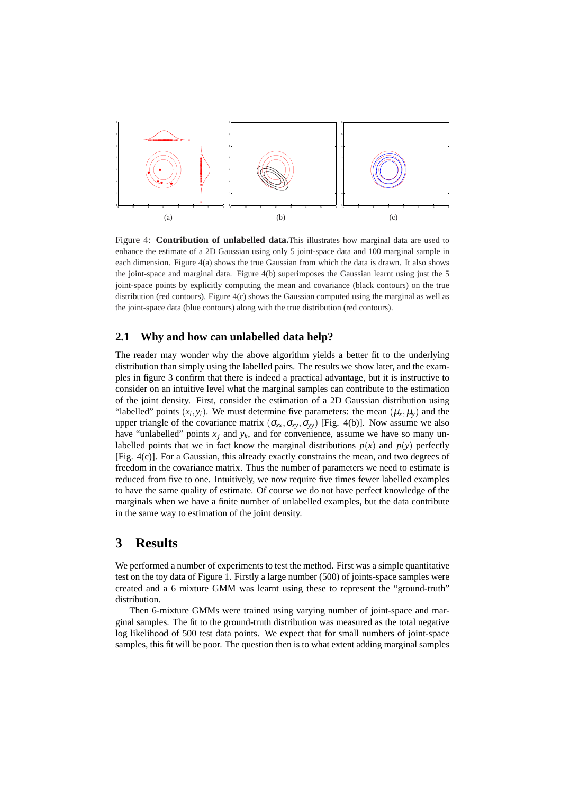

Figure 4: **Contribution of unlabelled data.**This illustrates how marginal data are used to enhance the estimate of a 2D Gaussian using only 5 joint-space data and 100 marginal sample in each dimension. Figure 4(a) shows the true Gaussian from which the data is drawn. It also shows the joint-space and marginal data. Figure 4(b) superimposes the Gaussian learnt using just the 5 joint-space points by explicitly computing the mean and covariance (black contours) on the true distribution (red contours). Figure 4(c) shows the Gaussian computed using the marginal as well as the joint-space data (blue contours) along with the true distribution (red contours).

#### **2.1 Why and how can unlabelled data help?**

The reader may wonder why the above algorithm yields a better fit to the underlying distribution than simply using the labelled pairs. The results we show later, and the examples in figure 3 confirm that there is indeed a practical advantage, but it is instructive to consider on an intuitive level what the marginal samples can contribute to the estimation of the joint density. First, consider the estimation of a 2D Gaussian distribution using "labelled" points  $(x_i, y_i)$ . We must determine five parameters: the mean  $(\mu_x, \mu_y)$  and the upper triangle of the covariance matrix  $(\sigma_{xx}, \sigma_{xy}, \sigma_{yy})$  [Fig. 4(b)]. Now assume we also have "unlabelled" points  $x_j$  and  $y_k$ , and for convenience, assume we have so many unlabelled points that we in fact know the marginal distributions  $p(x)$  and  $p(y)$  perfectly [Fig. 4(c)]. For a Gaussian, this already exactly constrains the mean, and two degrees of freedom in the covariance matrix. Thus the number of parameters we need to estimate is reduced from five to one. Intuitively, we now require five times fewer labelled examples to have the same quality of estimate. Of course we do not have perfect knowledge of the marginals when we have a finite number of unlabelled examples, but the data contribute in the same way to estimation of the joint density.

# **3 Results**

We performed a number of experiments to test the method. First was a simple quantitative test on the toy data of Figure 1. Firstly a large number (500) of joints-space samples were created and a 6 mixture GMM was learnt using these to represent the "ground-truth" distribution.

Then 6-mixture GMMs were trained using varying number of joint-space and marginal samples. The fit to the ground-truth distribution was measured as the total negative log likelihood of 500 test data points. We expect that for small numbers of joint-space samples, this fit will be poor. The question then is to what extent adding marginal samples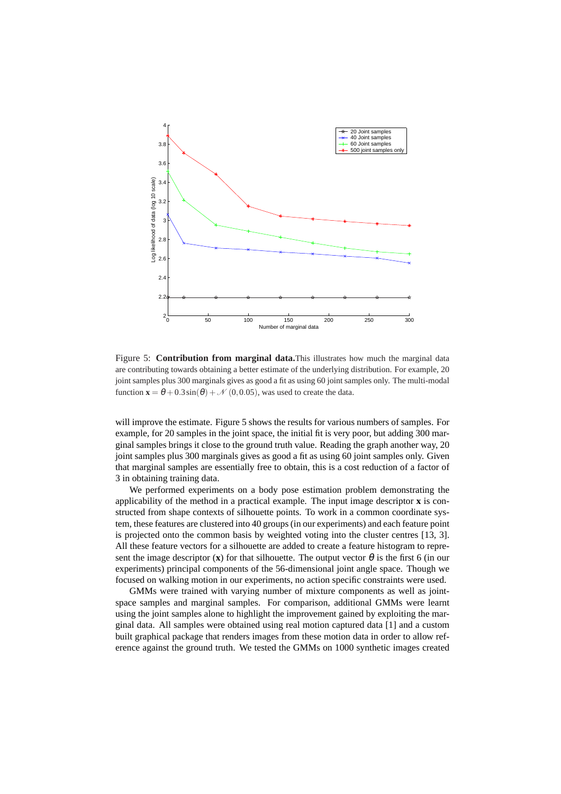

Figure 5: **Contribution from marginal data.**This illustrates how much the marginal data are contributing towards obtaining a better estimate of the underlying distribution. For example, 20 joint samples plus 300 marginals gives as good a fit as using 60 joint samples only. The multi-modal function  $\mathbf{x} = \theta + 0.3 \sin(\theta) + \mathcal{N}(0, 0.05)$ , was used to create the data.

will improve the estimate. Figure 5 shows the results for various numbers of samples. For example, for 20 samples in the joint space, the initial fit is very poor, but adding 300 marginal samples brings it close to the ground truth value. Reading the graph another way, 20 joint samples plus 300 marginals gives as good a fit as using 60 joint samples only. Given that marginal samples are essentially free to obtain, this is a cost reduction of a factor of 3 in obtaining training data.

We performed experiments on a body pose estimation problem demonstrating the applicability of the method in a practical example. The input image descriptor **x** is constructed from shape contexts of silhouette points. To work in a common coordinate system, these features are clustered into 40 groups (in our experiments) and each feature point is projected onto the common basis by weighted voting into the cluster centres [13, 3]. All these feature vectors for a silhouette are added to create a feature histogram to represent the image descriptor (**x**) for that silhouette. The output vector  $\theta$  is the first 6 (in our experiments) principal components of the 56-dimensional joint angle space. Though we focused on walking motion in our experiments, no action specific constraints were used.

GMMs were trained with varying number of mixture components as well as jointspace samples and marginal samples. For comparison, additional GMMs were learnt using the joint samples alone to highlight the improvement gained by exploiting the marginal data. All samples were obtained using real motion captured data [1] and a custom built graphical package that renders images from these motion data in order to allow reference against the ground truth. We tested the GMMs on 1000 synthetic images created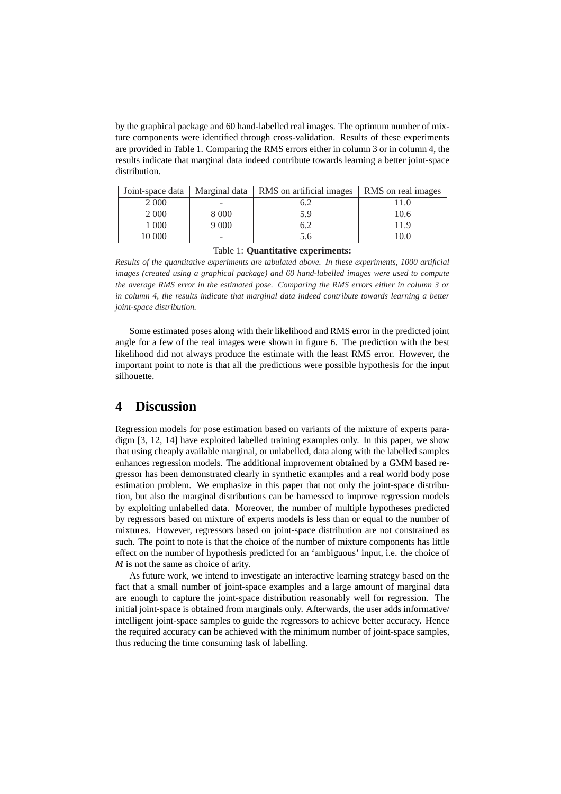by the graphical package and 60 hand-labelled real images. The optimum number of mixture components were identified through cross-validation. Results of these experiments are provided in Table 1. Comparing the RMS errors either in column 3 or in column 4, the results indicate that marginal data indeed contribute towards learning a better joint-space distribution.

| Joint-space data |         | Marginal data   RMS on artificial images | RMS on real images |
|------------------|---------|------------------------------------------|--------------------|
| 2 0 0 0          |         | 6.2                                      |                    |
| 2 0 0 0          | 8 0 0 0 | 5.9                                      | 10.6               |
| 1 000            | 9000    | 6.2                                      | 11.9               |
| 10 000           | -       | 5.6                                      | 10.0               |

Table 1: **Quantitative experiments:**

*Results of the quantitative experiments are tabulated above. In these experiments, 1000 artificial images (created using a graphical package) and 60 hand-labelled images were used to compute the average RMS error in the estimated pose. Comparing the RMS errors either in column 3 or in column 4, the results indicate that marginal data indeed contribute towards learning a better joint-space distribution.*

Some estimated poses along with their likelihood and RMS error in the predicted joint angle for a few of the real images were shown in figure 6. The prediction with the best likelihood did not always produce the estimate with the least RMS error. However, the important point to note is that all the predictions were possible hypothesis for the input silhouette.

### **4 Discussion**

Regression models for pose estimation based on variants of the mixture of experts paradigm [3, 12, 14] have exploited labelled training examples only. In this paper, we show that using cheaply available marginal, or unlabelled, data along with the labelled samples enhances regression models. The additional improvement obtained by a GMM based regressor has been demonstrated clearly in synthetic examples and a real world body pose estimation problem. We emphasize in this paper that not only the joint-space distribution, but also the marginal distributions can be harnessed to improve regression models by exploiting unlabelled data. Moreover, the number of multiple hypotheses predicted by regressors based on mixture of experts models is less than or equal to the number of mixtures. However, regressors based on joint-space distribution are not constrained as such. The point to note is that the choice of the number of mixture components has little effect on the number of hypothesis predicted for an 'ambiguous' input, i.e. the choice of *M* is not the same as choice of arity.

As future work, we intend to investigate an interactive learning strategy based on the fact that a small number of joint-space examples and a large amount of marginal data are enough to capture the joint-space distribution reasonably well for regression. The initial joint-space is obtained from marginals only. Afterwards, the user adds informative/ intelligent joint-space samples to guide the regressors to achieve better accuracy. Hence the required accuracy can be achieved with the minimum number of joint-space samples, thus reducing the time consuming task of labelling.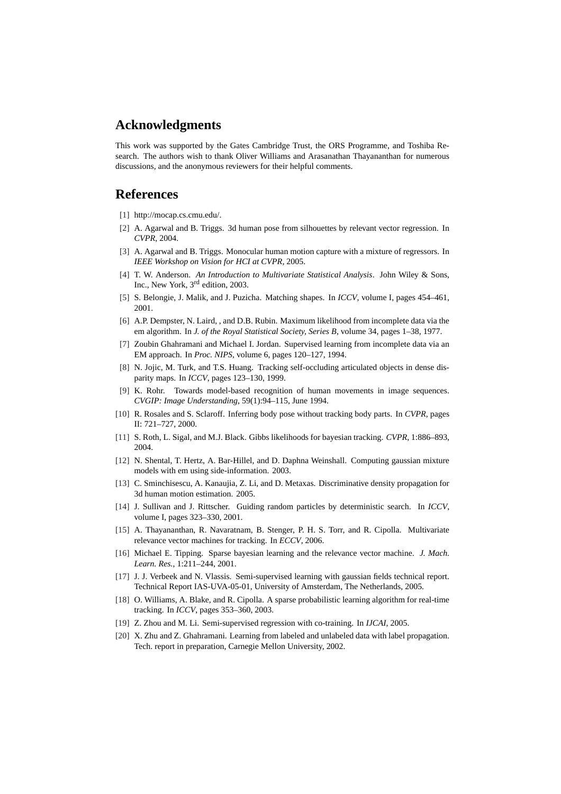## **Acknowledgments**

This work was supported by the Gates Cambridge Trust, the ORS Programme, and Toshiba Research. The authors wish to thank Oliver Williams and Arasanathan Thayananthan for numerous discussions, and the anonymous reviewers for their helpful comments.

#### **References**

- [1] http://mocap.cs.cmu.edu/.
- [2] A. Agarwal and B. Triggs. 3d human pose from silhouettes by relevant vector regression. In *CVPR*, 2004.
- [3] A. Agarwal and B. Triggs. Monocular human motion capture with a mixture of regressors. In *IEEE Workshop on Vision for HCI at CVPR*, 2005.
- [4] T. W. Anderson. *An Introduction to Multivariate Statistical Analysis*. John Wiley & Sons, Inc., New York, 3<sup>rd</sup> edition, 2003.
- [5] S. Belongie, J. Malik, and J. Puzicha. Matching shapes. In *ICCV*, volume I, pages 454–461, 2001.
- [6] A.P. Dempster, N. Laird, , and D.B. Rubin. Maximum likelihood from incomplete data via the em algorithm. In *J. of the Royal Statistical Society, Series B*, volume 34, pages 1–38, 1977.
- [7] Zoubin Ghahramani and Michael I. Jordan. Supervised learning from incomplete data via an EM approach. In *Proc. NIPS*, volume 6, pages 120–127, 1994.
- [8] N. Jojic, M. Turk, and T.S. Huang. Tracking self-occluding articulated objects in dense disparity maps. In *ICCV*, pages 123–130, 1999.
- [9] K. Rohr. Towards model-based recognition of human movements in image sequences. *CVGIP: Image Understanding*, 59(1):94–115, June 1994.
- [10] R. Rosales and S. Sclaroff. Inferring body pose without tracking body parts. In *CVPR*, pages II: 721–727, 2000.
- [11] S. Roth, L. Sigal, and M.J. Black. Gibbs likelihoods for bayesian tracking. *CVPR*, 1:886–893, 2004.
- [12] N. Shental, T. Hertz, A. Bar-Hillel, and D. Daphna Weinshall. Computing gaussian mixture models with em using side-information. 2003.
- [13] C. Sminchisescu, A. Kanaujia, Z. Li, and D. Metaxas. Discriminative density propagation for 3d human motion estimation. 2005.
- [14] J. Sullivan and J. Rittscher. Guiding random particles by deterministic search. In *ICCV*, volume I, pages 323–330, 2001.
- [15] A. Thayananthan, R. Navaratnam, B. Stenger, P. H. S. Torr, and R. Cipolla. Multivariate relevance vector machines for tracking. In *ECCV*, 2006.
- [16] Michael E. Tipping. Sparse bayesian learning and the relevance vector machine. *J. Mach. Learn. Res.*, 1:211–244, 2001.
- [17] J. J. Verbeek and N. Vlassis. Semi-supervised learning with gaussian fields technical report. Technical Report IAS-UVA-05-01, University of Amsterdam, The Netherlands, 2005.
- [18] O. Williams, A. Blake, and R. Cipolla. A sparse probabilistic learning algorithm for real-time tracking. In *ICCV*, pages 353–360, 2003.
- [19] Z. Zhou and M. Li. Semi-supervised regression with co-training. In *IJCAI*, 2005.
- [20] X. Zhu and Z. Ghahramani. Learning from labeled and unlabeled data with label propagation. Tech. report in preparation, Carnegie Mellon University, 2002.